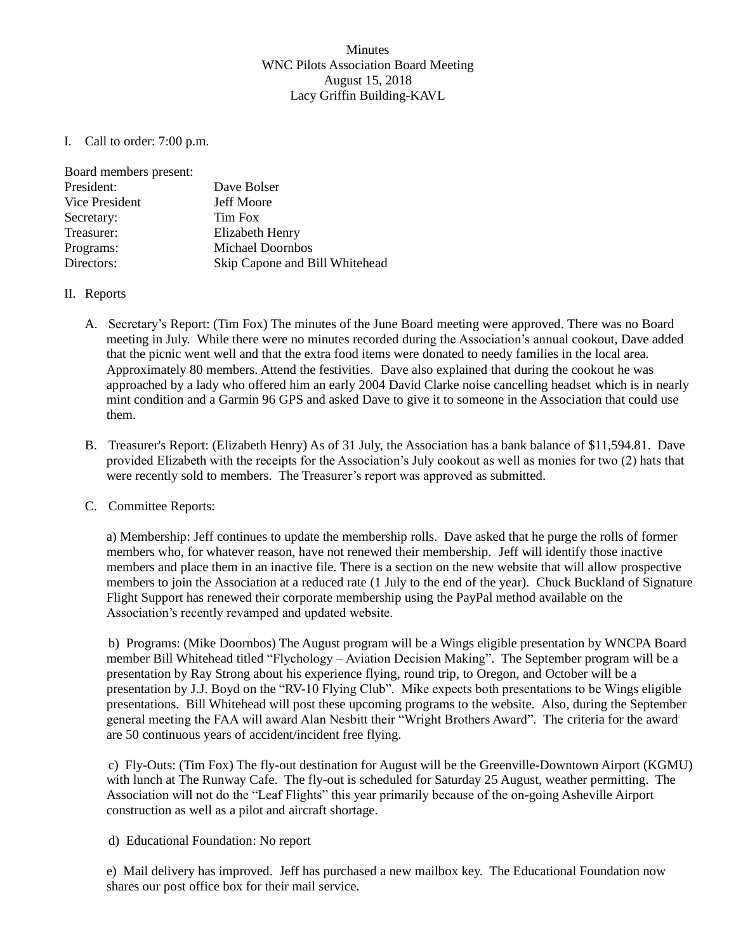## Minutes WNC Pilots Association Board Meeting August 15, 2018 Lacy Griffin Building-KAVL

I. Call to order: 7:00 p.m.

| Board members present: |                                |
|------------------------|--------------------------------|
| President:             | Dave Bolser                    |
| Vice President         | <b>Jeff Moore</b>              |
| Secretary:             | Tim Fox                        |
| Treasurer:             | Elizabeth Henry                |
| Programs:              | <b>Michael Doornbos</b>        |
| Directors:             | Skip Capone and Bill Whitehead |

## II. Reports

- A. Secretary's Report: (Tim Fox) The minutes of the June Board meeting were approved. There was no Board meeting in July. While there were no minutes recorded during the Association's annual cookout, Dave added that the picnic went well and that the extra food items were donated to needy families in the local area. Approximately 80 members. Attend the festivities. Dave also explained that during the cookout he was approached by a lady who offered him an early 2004 David Clarke noise cancelling headset which is in nearly mint condition and a Garmin 96 GPS and asked Dave to give it to someone in the Association that could use them.
- B. Treasurer's Report: (Elizabeth Henry) As of 31 July, the Association has a bank balance of \$11,594.81. Dave provided Elizabeth with the receipts for the Association's July cookout as well as monies for two (2) hats that were recently sold to members. The Treasurer's report was approved as submitted.

## C. Committee Reports:

a) Membership: Jeff continues to update the membership rolls. Dave asked that he purge the rolls of former members who, for whatever reason, have not renewed their membership. Jeff will identify those inactive members and place them in an inactive file. There is a section on the new website that will allow prospective members to join the Association at a reduced rate (1 July to the end of the year). Chuck Buckland of Signature Flight Support has renewed their corporate membership using the PayPal method available on the Association's recently revamped and updated website.

b) Programs: (Mike Doornbos) The August program will be a Wings eligible presentation by WNCPA Board member Bill Whitehead titled "Flychology – Aviation Decision Making". The September program will be a presentation by Ray Strong about his experience flying, round trip, to Oregon, and October will be a presentation by J.J. Boyd on the "RV-10 Flying Club". Mike expects both presentations to be Wings eligible presentations. Bill Whitehead will post these upcoming programs to the website. Also, during the September general meeting the FAA will award Alan Nesbitt their "Wright Brothers Award". The criteria for the award are 50 continuous years of accident/incident free flying.

c) Fly-Outs: (Tim Fox) The fly-out destination for August will be the Greenville-Downtown Airport (KGMU) with lunch at The Runway Cafe. The fly-out is scheduled for Saturday 25 August, weather permitting. The Association will not do the "Leaf Flights" this year primarily because of the on-going Asheville Airport construction as well as a pilot and aircraft shortage.

d) Educational Foundation: No report

e) Mail delivery has improved. Jeff has purchased a new mailbox key. The Educational Foundation now shares our post office box for their mail service.